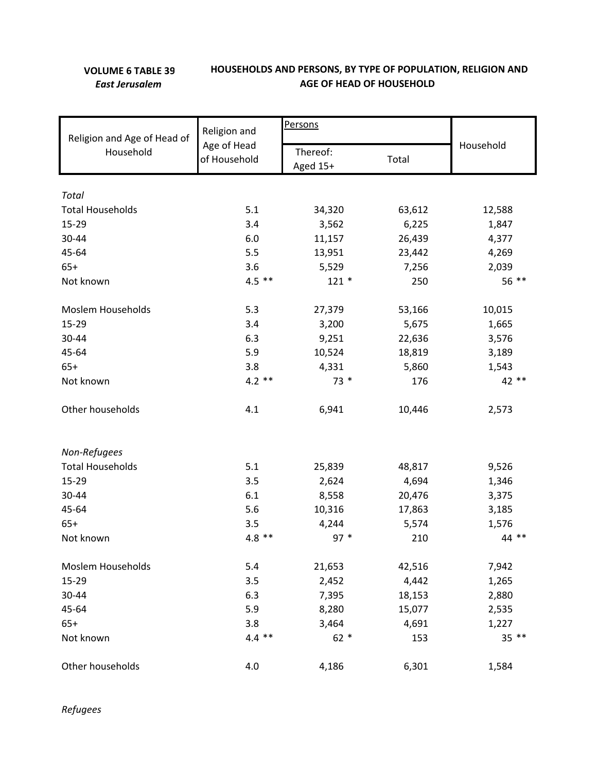## **VOLUME 6 TABLE 39** *East Jerusalem*

## **HOUSEHOLDS AND PERSONS, BY TYPE OF POPULATION, RELIGION AND AGE OF HEAD OF HOUSEHOLD**

|                                          |                                             | Persons              |           |        |  |
|------------------------------------------|---------------------------------------------|----------------------|-----------|--------|--|
| Religion and Age of Head of<br>Household | Religion and<br>Age of Head<br>of Household |                      | Household |        |  |
|                                          |                                             | Thereof:<br>Aged 15+ | Total     |        |  |
|                                          |                                             |                      |           |        |  |
| <b>Total</b>                             |                                             |                      |           |        |  |
| <b>Total Households</b>                  | 5.1                                         | 34,320               | 63,612    | 12,588 |  |
| 15-29                                    | 3.4                                         | 3,562                | 6,225     | 1,847  |  |
| 30-44                                    | 6.0                                         | 11,157               | 26,439    | 4,377  |  |
| 45-64                                    | 5.5                                         | 13,951               | 23,442    | 4,269  |  |
| $65+$                                    | 3.6                                         | 5,529                | 7,256     | 2,039  |  |
| Not known                                | $4.5$ **                                    | $121 *$              | 250       | 56 **  |  |
| <b>Moslem Households</b>                 | 5.3                                         | 27,379               | 53,166    | 10,015 |  |
| 15-29                                    | 3.4                                         | 3,200                | 5,675     | 1,665  |  |
| 30-44                                    | 6.3                                         | 9,251                | 22,636    | 3,576  |  |
| 45-64                                    | 5.9                                         | 10,524               | 18,819    | 3,189  |  |
| $65+$                                    | 3.8                                         | 4,331                | 5,860     | 1,543  |  |
| Not known                                | $4.2$ **                                    | $73*$                | 176       | 42 **  |  |
| Other households                         | 4.1                                         | 6,941                | 10,446    | 2,573  |  |
| Non-Refugees                             |                                             |                      |           |        |  |
| <b>Total Households</b>                  | 5.1                                         | 25,839               | 48,817    | 9,526  |  |
| 15-29                                    | 3.5                                         | 2,624                | 4,694     | 1,346  |  |
| 30-44                                    | 6.1                                         | 8,558                | 20,476    | 3,375  |  |
| 45-64                                    | 5.6                                         | 10,316               | 17,863    | 3,185  |  |
| $65+$                                    | 3.5                                         | 4,244                | 5,574     | 1,576  |  |
| Not known                                | $4.8$ **                                    | $97 *$               | 210       | 44 **  |  |
| Moslem Households                        | 5.4                                         | 21,653               | 42,516    | 7,942  |  |
| 15-29                                    | 3.5                                         | 2,452                | 4,442     | 1,265  |  |
| 30-44                                    | 6.3                                         | 7,395                | 18,153    | 2,880  |  |
| 45-64                                    | 5.9                                         | 8,280                | 15,077    | 2,535  |  |
| $65+$                                    | 3.8                                         | 3,464                | 4,691     | 1,227  |  |
| Not known                                | $4.4$ **                                    | $62 *$               | 153       | 35 **  |  |
| Other households                         | 4.0                                         | 4,186                | 6,301     | 1,584  |  |